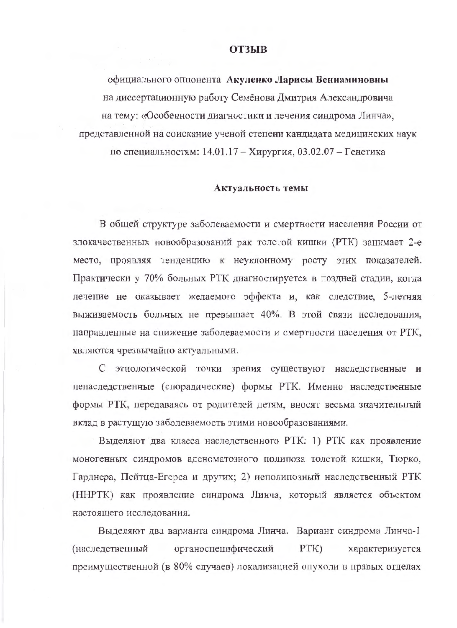### **ОТЗЫВ**

официального оппонента Акуленко Ларисы Вениаминовны на диссертационную работу Семёнова Дмитрия Александровича на тему: «Особенности диагностики и лечения синдрома Линча», представленной на соискание ученой степени кандидата медицинских наук по специальностям: 14.01.17 - Хирургия, 03.02.07 - Генетика

#### Актуальность темы

В общей структуре заболеваемости и смертности населения России от злокачественных новообразований рак толстой кишки (РТК) занимает 2-е место, проявляя тенденцию к неуклонному росту этих показателей. Практически у 70% больных РТК диагностируется в поздней стадии, когда лечение не оказывает желаемого эффекта и, как следствие, 5-летняя выживаемость больных не превышает 40%. В этой связи исследования, направленные на снижение заболеваемости и смертности населения от РТК, являются чрезвычайно актуальными.

С этиологической точки зрения существуют наследственные и ненаследственные (спорадические) формы РТК. Именно наследственные формы РТК, передаваясь от родителей детям, вносят весьма значительный вклад в растущую заболеваемость этими новообразованиями.

Выделяют два класса наследственного РТК: 1) РТК как проявление моногенных синдромов аденоматозного полипоза толстой кишки, Тюрко, Гарднера, Пейтца-Егерса и других; 2) неполипозный наследственный РТК (ННРТК) как проявление синдрома Линча, который является объектом настоящего исследования.

Выделяют два варианта синдрома Линча. Вариант синдрома Линча-1 органоспецифический  $PTK)$ характеризуется (наследственный преимущественной (в 80% случаев) локализацией опухоли в правых отделах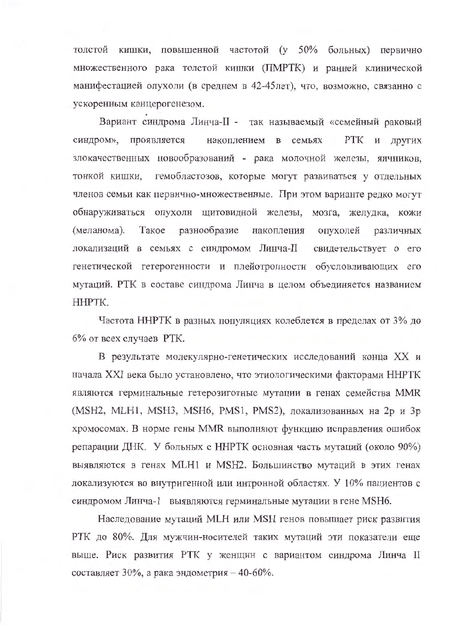толстой кишки, повышенной частотой (у 50% больных) первично множественного рака толстой кишки (ПМРТК) и ранней клинической манифестацией опухоли (в среднем в 42-45лет), что, возможно, связанно с ускоренным канцерогенезом.

Вариант синдрома Линча-II - так называемый «семейный раковый синдром», проявляется накоплением в семьях РТК и других злокачественных новообразований - рака молочной железы, яичников, тонкой кишки, гемобластозов, которые могут развиваться у отдельных членов семьи как первично-множественные. При этом варианте редко могут обнаруживаться опухоли щитовидной железы, мозга, желудка, кожи (меланома). Такое разнообразие накопления опухолей различных локализаций в семьях с синдромом Линча-II свидетельствует о его генетической гетерогенности и плейотропности обусловливающих его мутаций. РТК в составе синдрома Линча в целом объединяется названием HHPTK.

Частота ННРТК в разных популяциях колеблется в пределах от 3% до 6% от всех случаев РТК.

В результате молекулярно-генетических исследований конца XX и начала XXI века было установлено, что этиологическими факторами ННРТК являются герминальные гетерозиготные мутации в генах семейства MMR (MSH2, MLH1, MSH3, MSH6, PMS1, PMS2), локализованных на 2p и 3p хромосомах. В норме гены MMR выполняют функцию исправления ошибок репарации ДНК. У больных с ННРТК основная часть мутаций (около 90%) выявляются в генах MLH1 и MSH2. Большинство мутаций в этих генах локализуются во внутригенной или интронной областях. У 10% пациентов с синдромом Линча-1 выявляются герминальные мутации в гене MSH6.

Наследование мутаций MLH или MSH генов повышает риск развития РТК до 80%. Для мужчин-носителей таких мутаций эти показатели еще выше. Риск развития РТК у женщин с вариантом синдрома Линча II составляет 30%, а рака эндометрия - 40-60%.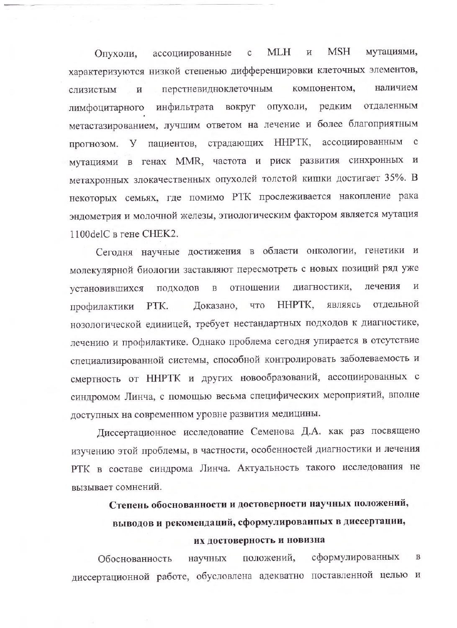**MSH MLH** мутациями,  $\mathbf{C}$  $\,$  M Опухоли, ассоциированные характеризуются низкой степенью дифференцировки клеточных элементов, компонентом, наличием перстневидноклеточным слизистым  $\mathbf{H}$ вокруг опухоли, редким отдаленным лимфоцитарного инфильтрата метастазированием, лучшим ответом на лечение и более благоприятным страдающих ННРТК, ассоциированным с прогнозом. У пациентов, мутациями в генах MMR, частота и риск развития синхронных и метахронных злокачественных опухолей толстой кишки достигает 35%. В некоторых семьях, где помимо РТК прослеживается накопление рака эндометрия и молочной железы, этиологическим фактором является мутация 1100delС в гене СНЕК2.

Сегодня научные достижения в области онкологии, генетики и молекулярной биологии заставляют пересмотреть с новых позиций ряд уже лечения И отношении диагностики, установившихся подходов  $\, {\bf B}$ Доказано, что HHPTK, являясь отдельной PTK. профилактики нозологической единицей, требует нестандартных подходов к диагностике, лечению и профилактике. Однако проблема сегодня упирается в отсутствие специализированной системы, способной контролировать заболеваемость и смертность от ННРТК и других новообразований, ассоциированных с синдромом Линча, с помощью весьма специфических мероприятий, вполне доступных на современном уровне развития медицины.

Диссертационное исследование Семенова Д.А. как раз посвящено изучению этой проблемы, в частности, особенностей диагностики и лечения РТК в составе синдрома Линча. Актуальность такого исследования не вызывает сомнений.

Степень обоснованности и достоверности научных положений,

# выводов и рекомендаций, сформулированных в диссертации,

### их достоверность и новизна

сформулированных положений,  $\mathbf{B}$ Обоснованность научных диссертационной работе, обусловлена адекватно поставленной целью и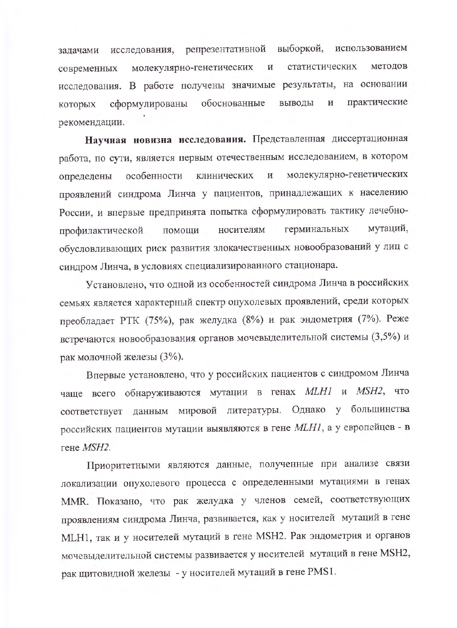репрезентативной выборкой, использованием исследования, задачами молекулярно-генетических И статистических методов современных исследования. В работе получены значимые результаты, на основании практические обоснованные выводы  $\mathbf H$ сформулированы которых рекомендации.

Научная новизна исследования. Представленная диссертационная работа, по сути, является первым отечественным исследованием, в котором молекулярно-генетических особенности клинических  $\, {\rm N}$ определены проявлений синдрома Линча у пациентов, принадлежащих к населению России, и впервые предпринята попытка сформулировать тактику лечебномутаций, носителям герминальных помощи профилактической обусловливающих риск развития злокачественных новообразований у лиц с синдром Линча, в условиях специализированного стационара.

Установлено, что одной из особенностей синдрома Линча в российских семьях является характерный спектр опухолевых проявлений, среди которых преобладает РТК (75%), рак желудка (8%) и рак эндометрия (7%). Реже встречаются новообразования органов мочевыделительной системы (3,5%) и рак молочной железы (3%).

Впервые установлено, что у российских пациентов с синдромом Линча чаще всего обнаруживаются мутации в генах MLH1 и MSH2, что соответствует данным мировой литературы. Однако у большинства российских пациентов мутации выявляются в гене МLН1, а у европейцев - в гене MSH2.

Приоритетными являются данные, полученные при анализе связи локализации опухолевого процесса с определенными мутациями в генах MMR. Показано, что рак желудка у членов семей, соответствующих проявлениям синдрома Линча, развивается, как у носителей мутаций в гене MLH1, так и у носителей мутаций в гене MSH2. Рак эндометрия и органов мочевыделительной системы развивается у носителей мутаций в гене MSH2, рак щитовидной железы - у носителей мутаций в гене PMS1.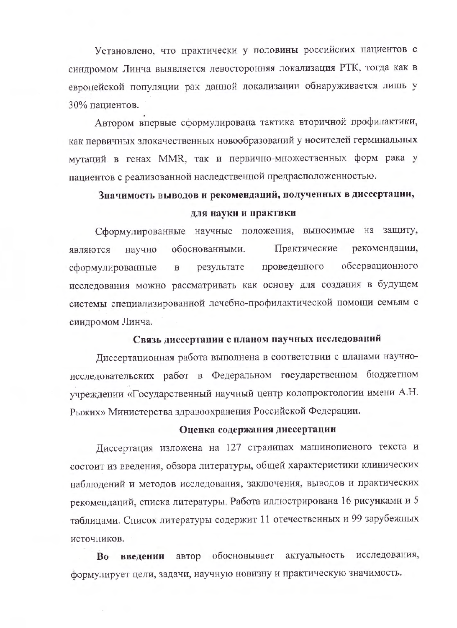Установлено, что практически у половины российских пациентов с синдромом Линча выявляется левосторонняя локализация РТК, тогда как в европейской популяции рак данной локализации обнаруживается лишь у 30% пациентов.

Автором впервые сформулирована тактика вторичной профилактики, как первичных злокачественных новообразований у носителей герминальных мутаций в генах MMR, так и первично-множественных форм рака у пациентов с реализованной наследственной предрасположенностью.

# Значимость выводов и рекомендаций, полученных в диссертации, для науки и практики

Сформулированные научные положения, выносимые на защиту, Практические рекомендации, являются научно обоснованными. проведенного обсервационного сформулированные результате  $\mathbf{B}$ исследования можно рассматривать как основу для создания в будущем системы специализированной лечебно-профилактической помощи семьям с синдромом Линча.

## Связь диссертации с планом паучных исследований

Диссертационная работа выполнена в соответствии с планами научноисследовательских работ в Федеральном государственном бюджетном учреждении «Государственный научный центр колопроктологии имени А.Н. Рыжих» Министерства здравоохранения Российской Федерации.

# Оценка содержания диссертации

Диссертация изложена на 127 страницах машинописного текста и состоит из введения, обзора литературы, общей характеристики клинических наблюдений и методов исследования, заключения, выводов и практических рекомендаций, списка литературы. Работа иллюстрирована 16 рисунками и 5 таблицами. Список литературы содержит 11 отечественных и 99 зарубежных источников.

автор обосновывает исследования, актуальность B<sub>0</sub> введении формулирует цели, задачи, научную новизну и практическую значимость.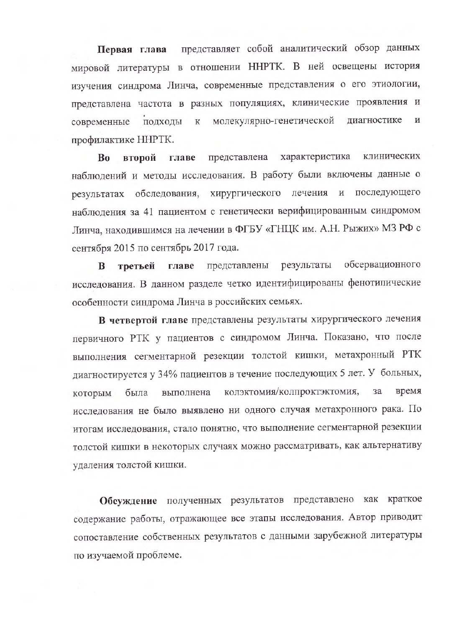представляет собой аналитический обзор данных Первая глава мировой литературы в отношении ННРТК. В ней освещены история изучения синдрома Линча, современные представления о его этиологии, представлена частота в разных популяциях, клинические проявления и молекулярно-генетической диагностике  $\overline{\mathbf{M}}$ ПОДХОДЫ  ${\bf K}$ современные профилактике ННРТК.

характеристика клинических второй главе представлена Bo наблюдений и методы исследования. В работу были включены данные о результатах обследования, хирургического лечения и последующего наблюдения за 41 пациентом с генетически верифицированным синдромом Линча, находившимся на лечении в ФГБУ «ГНЦК им. А.Н. Рыжих» МЗ РФ с сентября 2015 по сентябрь 2017 года.

обсервационного представлены результаты B третьей главе исследования. В данном разделе четко идентифицированы фенотипические особенности синдрома Линча в российских семьях.

В четвертой главе представлены результаты хирургического лечения первичного РТК у пациентов с синдромом Линча. Показано, что после выполнения сегментарной резекции толстой кишки, метахронный РТК диагностируется у 34% пациентов в течение последующих 5 лет. У больных, колэктомия/колпроктэктомия, была 3a время выполнена которым исследования не было выявлено ни одного случая метахронного рака. По итогам исследования, стало понятно, что выполнение сегментарной резекции толстой кишки в некоторых случаях можно рассматривать, как альтернативу удаления толстой кишки.

Обсуждение полученных результатов представлено как краткое содержание работы, отражающее все этапы исследования. Автор приводит сопоставление собственных результатов с данными зарубежной литературы по изучаемой проблеме.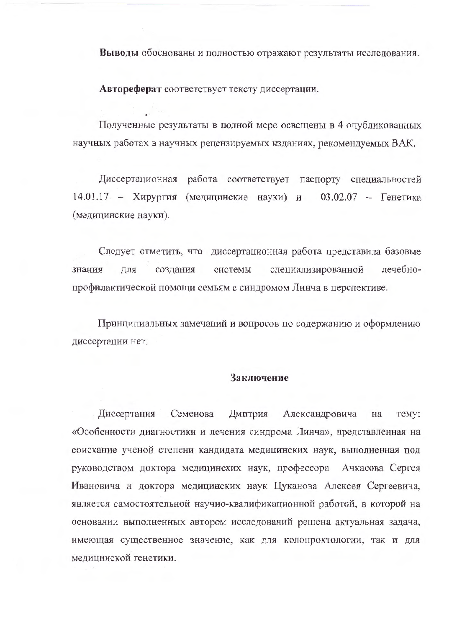Выводы обоснованы и полностью отражают результаты исследования.

Автореферат соответствует тексту диссертации.

Полученные результаты в полной мере освещены в 4 опубликованных научных работах в научных рецензируемых изданиях, рекомендуемых ВАК.

Диссертационная работа соответствует паспорту специальностей 14.01.17 - Хирургия (медицинские науки) и 03.02.07 - Генетика (медицинские науки).

Следует отметить, что диссертационная работа представила базовые системы специализированной лечебнознания ДЛЯ создания профилактической помощи семьям с синдромом Линча в церспективе.

Принципиальных замечаний и вопросов по содержанию и оформлению диссертации нет.

### Заключение

Диссертация Семенова Дмитрия Александровича TeMV: на «Особенности диагностики и лечения синдрома Линча», представленная на соискание ученой степени кандидата медицинских наук, выполненная под руководством доктора медицинских наук, профессора Ачкасова Сергея Ивановича и доктора медицинских наук Цуканова Алексея Сергеевича, является самостоятельной научно-квалификационной работой, в которой на основании выполненных автором исследований решена актуальная задача, имеющая существенное значение, как для колопроктологии, так и для медицинской генетики.